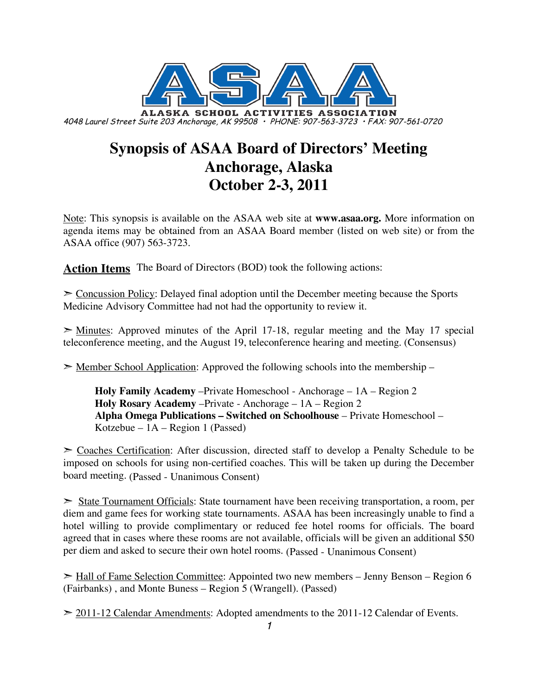

# **Synopsis of ASAA Board of Directors' Meeting Anchorage, Alaska October 2-3, 2011**

Note: This synopsis is available on the ASAA web site at **www.asaa.org.** More information on agenda items may be obtained from an ASAA Board member (listed on web site) or from the ASAA office (907) 563-3723.

**Action Items** The Board of Directors (BOD) took the following actions:

 $\geq$  Concussion Policy: Delayed final adoption until the December meeting because the Sports Medicine Advisory Committee had not had the opportunity to review it.

 $\geq$  Minutes: Approved minutes of the April 17-18, regular meeting and the May 17 special teleconference meeting, and the August 19, teleconference hearing and meeting. (Consensus)

 $\geq$  Member School Application: Approved the following schools into the membership –

**Holy Family Academy** –Private Homeschool - Anchorage – 1A – Region 2 **Holy Rosary Academy** –Private - Anchorage – 1A – Region 2 **Alpha Omega Publications – Switched on Schoolhouse** – Private Homeschool – Kotzebue –  $1A$  – Region 1 (Passed)

 $\geq$  Coaches Certification: After discussion, directed staff to develop a Penalty Schedule to be imposed on schools for using non-certified coaches. This will be taken up during the December board meeting. (Passed - Unanimous Consent)

➣ State Tournament Officials: State tournament have been receiving transportation, a room, per diem and game fees for working state tournaments. ASAA has been increasingly unable to find a hotel willing to provide complimentary or reduced fee hotel rooms for officials. The board agreed that in cases where these rooms are not available, officials will be given an additional \$50 per diem and asked to secure their own hotel rooms. (Passed - Unanimous Consent)

 $\ge$  Hall of Fame Selection Committee: Appointed two new members – Jenny Benson – Region 6 (Fairbanks) , and Monte Buness – Region 5 (Wrangell). (Passed)

 $\geq$  2011-12 Calendar Amendments: Adopted amendments to the 2011-12 Calendar of Events.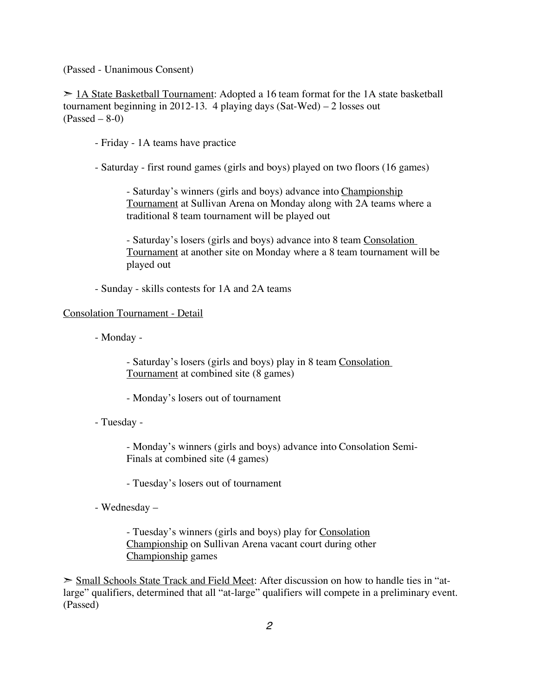(Passed - Unanimous Consent)

 $\geq$  1A State Basketball Tournament: Adopted a 16 team format for the 1A state basketball tournament beginning in 2012-13. 4 playing days  $(Sat-Wed) - 2$  losses out  $(Passed - 8-0)$ 

- Friday - 1A teams have practice

- Saturday - first round games (girls and boys) played on two floors (16 games)

- Saturday's winners (girls and boys) advance into Championship Tournament at Sullivan Arena on Monday along with 2A teams where a traditional 8 team tournament will be played out

- Saturday's losers (girls and boys) advance into 8 team Consolation Tournament at another site on Monday where a 8 team tournament will be played out

- Sunday - skills contests for 1A and 2A teams

#### Consolation Tournament - Detail

- Monday -

- Saturday's losers (girls and boys) play in 8 team Consolation Tournament at combined site (8 games)

- Monday's losers out of tournament

- Tuesday -

- Monday's winners (girls and boys) advance into Consolation Semi-Finals at combined site (4 games)

- Tuesday's losers out of tournament

- Wednesday –

- Tuesday's winners (girls and boys) play for Consolation Championship on Sullivan Arena vacant court during other Championship games

 $\geq$  Small Schools State Track and Field Meet: After discussion on how to handle ties in "atlarge" qualifiers, determined that all "at-large" qualifiers will compete in a preliminary event. (Passed)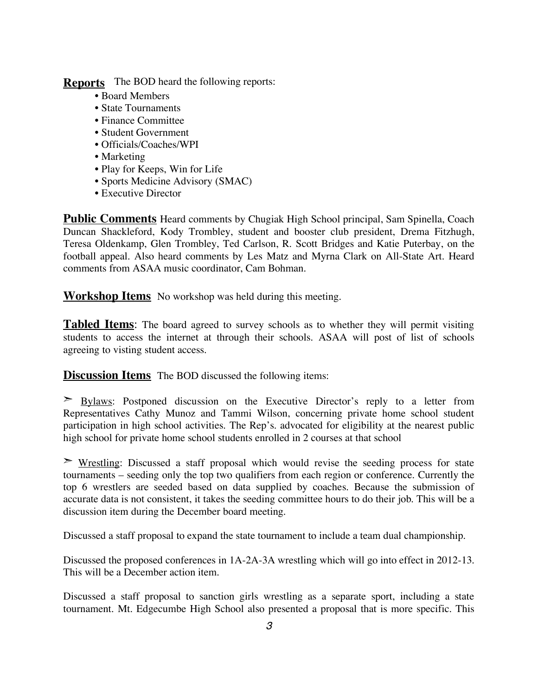**Reports** The BOD heard the following reports:

- Board Members
- State Tournaments
- Finance Committee
- Student Government
- Officials/Coaches/WPI
- Marketing
- Play for Keeps, Win for Life
- Sports Medicine Advisory (SMAC)
- Executive Director

**Public Comments** Heard comments by Chugiak High School principal, Sam Spinella, Coach Duncan Shackleford, Kody Trombley, student and booster club president, Drema Fitzhugh, Teresa Oldenkamp, Glen Trombley, Ted Carlson, R. Scott Bridges and Katie Puterbay, on the football appeal. Also heard comments by Les Matz and Myrna Clark on All-State Art. Heard comments from ASAA music coordinator, Cam Bohman.

**Workshop Items** No workshop was held during this meeting.

**Tabled Items**: The board agreed to survey schools as to whether they will permit visiting students to access the internet at through their schools. ASAA will post of list of schools agreeing to visting student access.

**Discussion Items** The BOD discussed the following items:

➣ Bylaws: Postponed discussion on the Executive Director's reply to a letter from Representatives Cathy Munoz and Tammi Wilson, concerning private home school student participation in high school activities. The Rep's. advocated for eligibility at the nearest public high school for private home school students enrolled in 2 courses at that school

 $\triangleright$  Wrestling: Discussed a staff proposal which would revise the seeding process for state tournaments – seeding only the top two qualifiers from each region or conference. Currently the top 6 wrestlers are seeded based on data supplied by coaches. Because the submission of accurate data is not consistent, it takes the seeding committee hours to do their job. This will be a discussion item during the December board meeting.

Discussed a staff proposal to expand the state tournament to include a team dual championship.

Discussed the proposed conferences in 1A-2A-3A wrestling which will go into effect in 2012-13. This will be a December action item.

Discussed a staff proposal to sanction girls wrestling as a separate sport, including a state tournament. Mt. Edgecumbe High School also presented a proposal that is more specific. This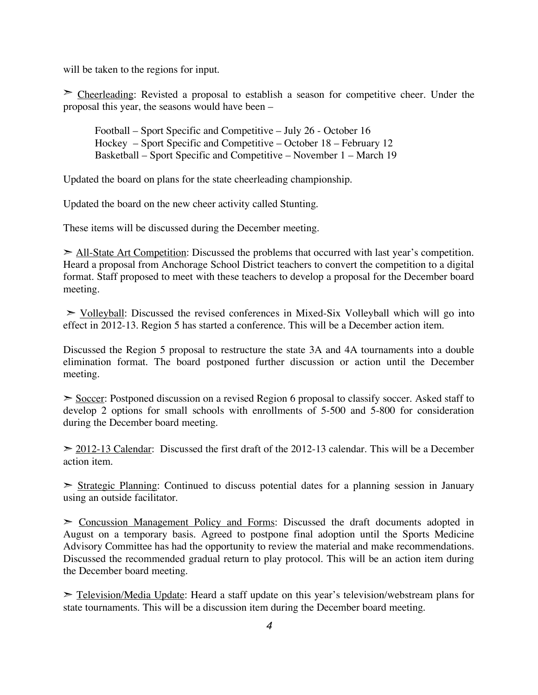will be taken to the regions for input.

 $\geq$  Cheerleading: Revisted a proposal to establish a season for competitive cheer. Under the proposal this year, the seasons would have been –

Football – Sport Specific and Competitive – July 26 - October 16 Hockey – Sport Specific and Competitive – October 18 – February 12 Basketball – Sport Specific and Competitive – November 1 – March 19

Updated the board on plans for the state cheerleading championship.

Updated the board on the new cheer activity called Stunting.

These items will be discussed during the December meeting.

 $\ge$  All-State Art Competition: Discussed the problems that occurred with last year's competition. Heard a proposal from Anchorage School District teachers to convert the competition to a digital format. Staff proposed to meet with these teachers to develop a proposal for the December board meeting.

 $\ge$  Volleyball: Discussed the revised conferences in Mixed-Six Volleyball which will go into effect in 2012-13. Region 5 has started a conference. This will be a December action item.

Discussed the Region 5 proposal to restructure the state 3A and 4A tournaments into a double elimination format. The board postponed further discussion or action until the December meeting.

► Soccer: Postponed discussion on a revised Region 6 proposal to classify soccer. Asked staff to develop 2 options for small schools with enrollments of 5-500 and 5-800 for consideration during the December board meeting.

 $\geq$  2012-13 Calendar: Discussed the first draft of the 2012-13 calendar. This will be a December action item.

 $\geq$  Strategic Planning: Continued to discuss potential dates for a planning session in January using an outside facilitator.

➣ Concussion Management Policy and Forms: Discussed the draft documents adopted in August on a temporary basis. Agreed to postpone final adoption until the Sports Medicine Advisory Committee has had the opportunity to review the material and make recommendations. Discussed the recommended gradual return to play protocol. This will be an action item during the December board meeting.

 $\ge$  Television/Media Update: Heard a staff update on this year's television/webstream plans for state tournaments. This will be a discussion item during the December board meeting.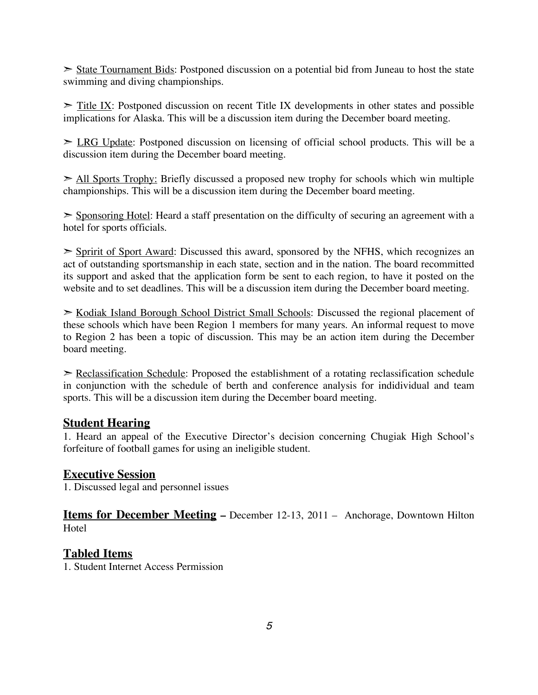State Tournament Bids: Postponed discussion on a potential bid from Juneau to host the state swimming and diving championships.

 $\ge$  Title IX: Postponed discussion on recent Title IX developments in other states and possible implications for Alaska. This will be a discussion item during the December board meeting.

 $\geq$  LRG Update: Postponed discussion on licensing of official school products. This will be a discussion item during the December board meeting.

➣ All Sports Trophy: Briefly discussed a proposed new trophy for schools which win multiple championships. This will be a discussion item during the December board meeting.

➣ Sponsoring Hotel: Heard a staff presentation on the difficulty of securing an agreement with a hotel for sports officials.

➣ Spririt of Sport Award: Discussed this award, sponsored by the NFHS, which recognizes an act of outstanding sportsmanship in each state, section and in the nation. The board recommitted its support and asked that the application form be sent to each region, to have it posted on the website and to set deadlines. This will be a discussion item during the December board meeting.

➣ Kodiak Island Borough School District Small Schools: Discussed the regional placement of these schools which have been Region 1 members for many years. An informal request to move to Region 2 has been a topic of discussion. This may be an action item during the December board meeting.

 $\geq$  Reclassification Schedule: Proposed the establishment of a rotating reclassification schedule in conjunction with the schedule of berth and conference analysis for indidividual and team sports. This will be a discussion item during the December board meeting.

#### **Student Hearing**

1. Heard an appeal of the Executive Director's decision concerning Chugiak High School's forfeiture of football games for using an ineligible student.

#### **Executive Session**

1. Discussed legal and personnel issues

**Items for December Meeting –** December 12-13, 2011 – Anchorage, Downtown Hilton **Hotel** 

#### **Tabled Items**

1. Student Internet Access Permission